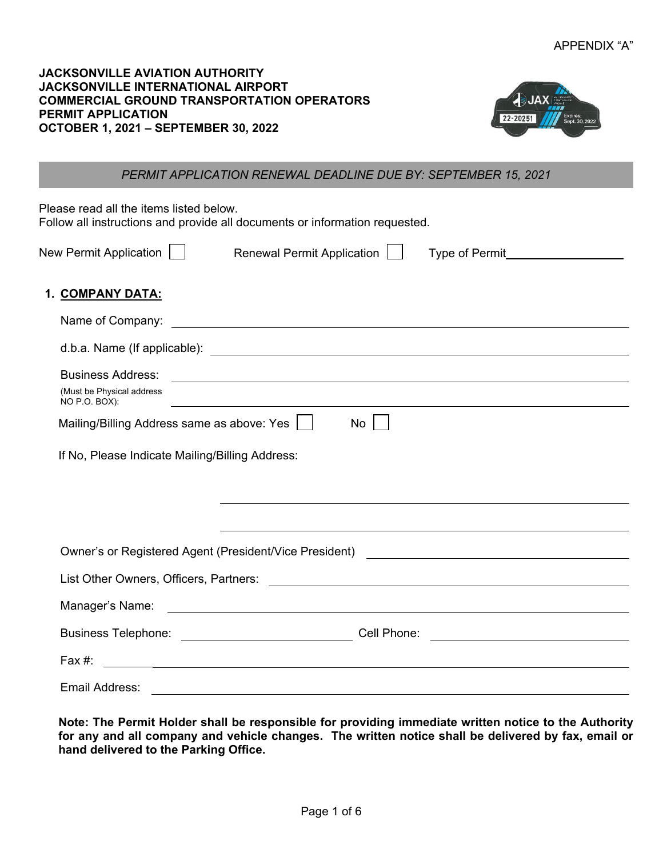| <b>JACKSONVILLE AVIATION AUTHORITY</b>            |
|---------------------------------------------------|
| <b>JACKSONVILLE INTERNATIONAL AIRPORT</b>         |
| <b>COMMERCIAL GROUND TRANSPORTATION OPERATORS</b> |
| <b>PERMIT APPLICATION</b>                         |
| <b>OCTOBER 1, 2021 – SEPTEMBER 30, 2022</b>       |



## *PERMIT APPLICATION RENEWAL DEADLINE DUE BY: SEPTEMBER 15, 2021*

Please read all the items listed below.

Follow all instructions and provide all documents or information requested.

|  | New Permit Application |  |
|--|------------------------|--|
|  |                        |  |

New Permit Application | Renewal Permit Application | Type of Permit

## **1. COMPANY DATA:**

| <b>Business Address:</b>                        | <u> Andreas Andreas Andreas Andreas Andreas Andreas Andreas Andreas Andreas Andreas Andreas Andreas Andreas Andr</u>                                                                                                                 |
|-------------------------------------------------|--------------------------------------------------------------------------------------------------------------------------------------------------------------------------------------------------------------------------------------|
| (Must be Physical address<br>NO P.O. BOX):      | <u> 1989 - Johann Stoff, amerikansk politiker (d. 1989)</u>                                                                                                                                                                          |
| Mailing/Billing Address same as above: Yes      | No                                                                                                                                                                                                                                   |
| If No, Please Indicate Mailing/Billing Address: |                                                                                                                                                                                                                                      |
|                                                 |                                                                                                                                                                                                                                      |
|                                                 |                                                                                                                                                                                                                                      |
|                                                 | ,我们也不会有什么。""我们的人,我们也不会有什么?""我们的人,我们也不会有什么?""我们的人,我们也不会有什么?""我们的人,我们也不会有什么?""我们的人                                                                                                                                                     |
|                                                 |                                                                                                                                                                                                                                      |
|                                                 |                                                                                                                                                                                                                                      |
|                                                 |                                                                                                                                                                                                                                      |
|                                                 | Cell Phone: <u>with the contract of the contract of the contract of the contract of the contract of the contract of the contract of the contract of the contract of the contract of the contract of the contract of the contract</u> |
|                                                 |                                                                                                                                                                                                                                      |
| Email Address:                                  |                                                                                                                                                                                                                                      |

**Note: The Permit Holder shall be responsible for providing immediate written notice to the Authority for any and all company and vehicle changes. The written notice shall be delivered by fax, email or hand delivered to the Parking Office.**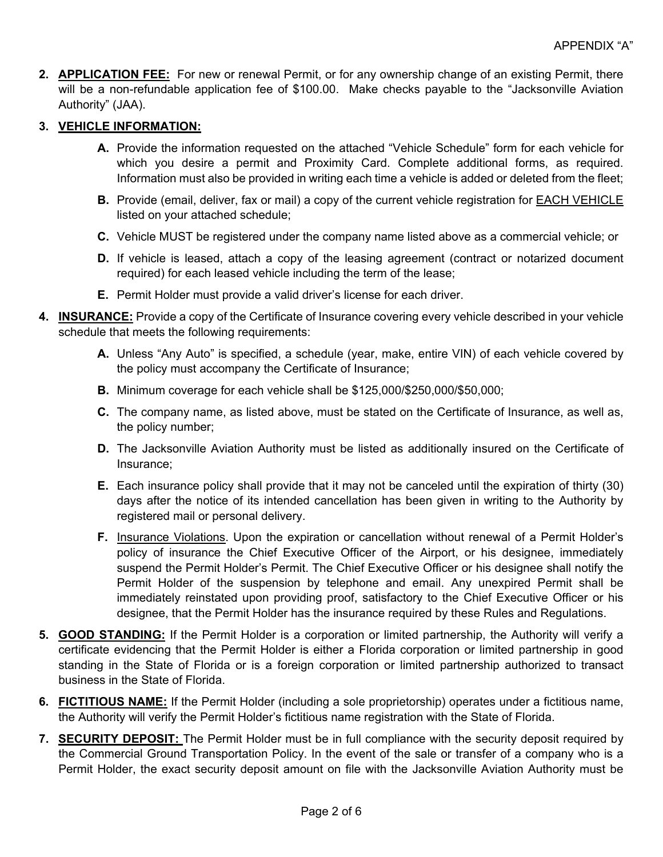**2. APPLICATION FEE:** For new or renewal Permit, or for any ownership change of an existing Permit, there will be a non-refundable application fee of \$100.00. Make checks payable to the "Jacksonville Aviation Authority" (JAA).

## **3. VEHICLE INFORMATION:**

- **A.** Provide the information requested on the attached "Vehicle Schedule" form for each vehicle for which you desire a permit and Proximity Card. Complete additional forms, as required. Information must also be provided in writing each time a vehicle is added or deleted from the fleet;
- **B.** Provide (email, deliver, fax or mail) a copy of the current vehicle registration for EACH VEHICLE listed on your attached schedule;
- **C.** Vehicle MUST be registered under the company name listed above as a commercial vehicle; or
- **D.** If vehicle is leased, attach a copy of the leasing agreement (contract or notarized document required) for each leased vehicle including the term of the lease;
- **E.** Permit Holder must provide a valid driver's license for each driver.
- **4. INSURANCE:** Provide a copy of the Certificate of Insurance covering every vehicle described in your vehicle schedule that meets the following requirements:
	- **A.** Unless "Any Auto" is specified, a schedule (year, make, entire VIN) of each vehicle covered by the policy must accompany the Certificate of Insurance;
	- **B.** Minimum coverage for each vehicle shall be \$125,000/\$250,000/\$50,000;
	- **C.** The company name, as listed above, must be stated on the Certificate of Insurance, as well as, the policy number;
	- **D.** The Jacksonville Aviation Authority must be listed as additionally insured on the Certificate of Insurance;
	- **E.** Each insurance policy shall provide that it may not be canceled until the expiration of thirty (30) days after the notice of its intended cancellation has been given in writing to the Authority by registered mail or personal delivery.
	- **F.** Insurance Violations. Upon the expiration or cancellation without renewal of a Permit Holder's policy of insurance the Chief Executive Officer of the Airport, or his designee, immediately suspend the Permit Holder's Permit. The Chief Executive Officer or his designee shall notify the Permit Holder of the suspension by telephone and email. Any unexpired Permit shall be immediately reinstated upon providing proof, satisfactory to the Chief Executive Officer or his designee, that the Permit Holder has the insurance required by these Rules and Regulations.
- **5. GOOD STANDING:** If the Permit Holder is a corporation or limited partnership, the Authority will verify a certificate evidencing that the Permit Holder is either a Florida corporation or limited partnership in good standing in the State of Florida or is a foreign corporation or limited partnership authorized to transact business in the State of Florida.
- **6. FICTITIOUS NAME:** If the Permit Holder (including a sole proprietorship) operates under a fictitious name, the Authority will verify the Permit Holder's fictitious name registration with the State of Florida.
- **7. SECURITY DEPOSIT:** The Permit Holder must be in full compliance with the security deposit required by the Commercial Ground Transportation Policy. In the event of the sale or transfer of a company who is a Permit Holder, the exact security deposit amount on file with the Jacksonville Aviation Authority must be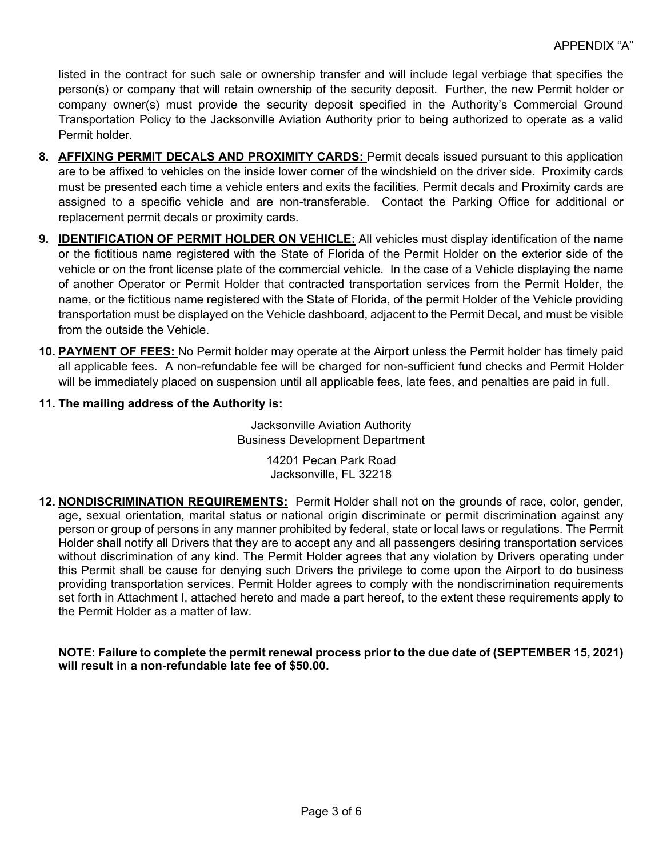listed in the contract for such sale or ownership transfer and will include legal verbiage that specifies the person(s) or company that will retain ownership of the security deposit. Further, the new Permit holder or company owner(s) must provide the security deposit specified in the Authority's Commercial Ground Transportation Policy to the Jacksonville Aviation Authority prior to being authorized to operate as a valid Permit holder.

- **8. AFFIXING PERMIT DECALS AND PROXIMITY CARDS:** Permit decals issued pursuant to this application are to be affixed to vehicles on the inside lower corner of the windshield on the driver side. Proximity cards must be presented each time a vehicle enters and exits the facilities. Permit decals and Proximity cards are assigned to a specific vehicle and are non-transferable. Contact the Parking Office for additional or replacement permit decals or proximity cards.
- **9. IDENTIFICATION OF PERMIT HOLDER ON VEHICLE:** All vehicles must display identification of the name or the fictitious name registered with the State of Florida of the Permit Holder on the exterior side of the vehicle or on the front license plate of the commercial vehicle. In the case of a Vehicle displaying the name of another Operator or Permit Holder that contracted transportation services from the Permit Holder, the name, or the fictitious name registered with the State of Florida, of the permit Holder of the Vehicle providing transportation must be displayed on the Vehicle dashboard, adjacent to the Permit Decal, and must be visible from the outside the Vehicle.
- **10. PAYMENT OF FEES:** No Permit holder may operate at the Airport unless the Permit holder has timely paid all applicable fees. A non-refundable fee will be charged for non-sufficient fund checks and Permit Holder will be immediately placed on suspension until all applicable fees, late fees, and penalties are paid in full.
- **11. The mailing address of the Authority is:**

Jacksonville Aviation Authority Business Development Department

> 14201 Pecan Park Road Jacksonville, FL 32218

**12. NONDISCRIMINATION REQUIREMENTS:** Permit Holder shall not on the grounds of race, color, gender, age, sexual orientation, marital status or national origin discriminate or permit discrimination against any person or group of persons in any manner prohibited by federal, state or local laws or regulations. The Permit Holder shall notify all Drivers that they are to accept any and all passengers desiring transportation services without discrimination of any kind. The Permit Holder agrees that any violation by Drivers operating under this Permit shall be cause for denying such Drivers the privilege to come upon the Airport to do business providing transportation services. Permit Holder agrees to comply with the nondiscrimination requirements set forth in Attachment I, attached hereto and made a part hereof, to the extent these requirements apply to the Permit Holder as a matter of law.

**NOTE: Failure to complete the permit renewal process prior to the due date of (SEPTEMBER 15, 2021) will result in a non-refundable late fee of \$50.00.**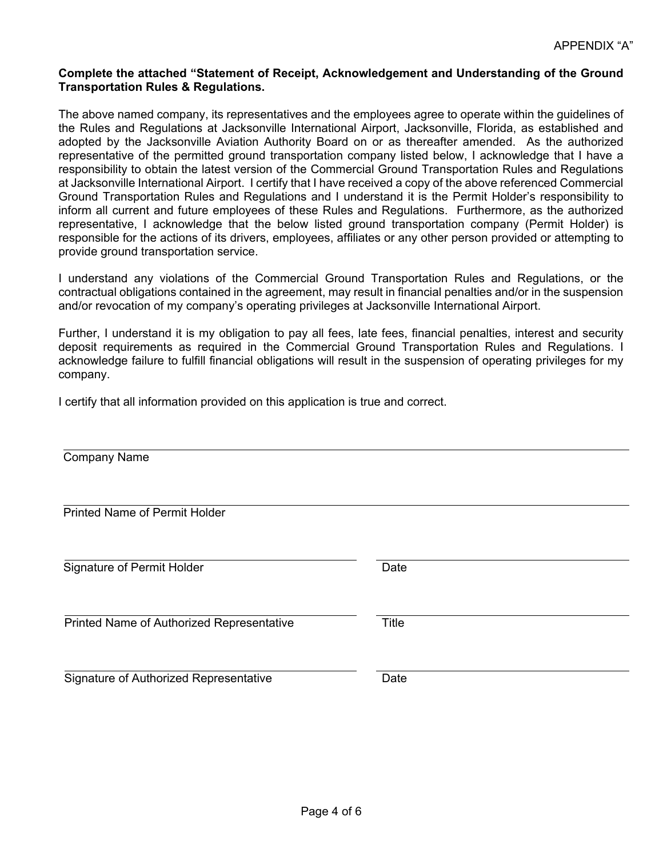#### **Complete the attached "Statement of Receipt, Acknowledgement and Understanding of the Ground Transportation Rules & Regulations.**

The above named company, its representatives and the employees agree to operate within the guidelines of the Rules and Regulations at Jacksonville International Airport, Jacksonville, Florida, as established and adopted by the Jacksonville Aviation Authority Board on or as thereafter amended. As the authorized representative of the permitted ground transportation company listed below, I acknowledge that I have a responsibility to obtain the latest version of the Commercial Ground Transportation Rules and Regulations at Jacksonville International Airport. I certify that I have received a copy of the above referenced Commercial Ground Transportation Rules and Regulations and I understand it is the Permit Holder's responsibility to inform all current and future employees of these Rules and Regulations. Furthermore, as the authorized representative, I acknowledge that the below listed ground transportation company (Permit Holder) is responsible for the actions of its drivers, employees, affiliates or any other person provided or attempting to provide ground transportation service.

I understand any violations of the Commercial Ground Transportation Rules and Regulations, or the contractual obligations contained in the agreement, may result in financial penalties and/or in the suspension and/or revocation of my company's operating privileges at Jacksonville International Airport.

Further, I understand it is my obligation to pay all fees, late fees, financial penalties, interest and security deposit requirements as required in the Commercial Ground Transportation Rules and Regulations. I acknowledge failure to fulfill financial obligations will result in the suspension of operating privileges for my company.

I certify that all information provided on this application is true and correct.

| Date         |
|--------------|
| <b>Title</b> |
| Date         |
|              |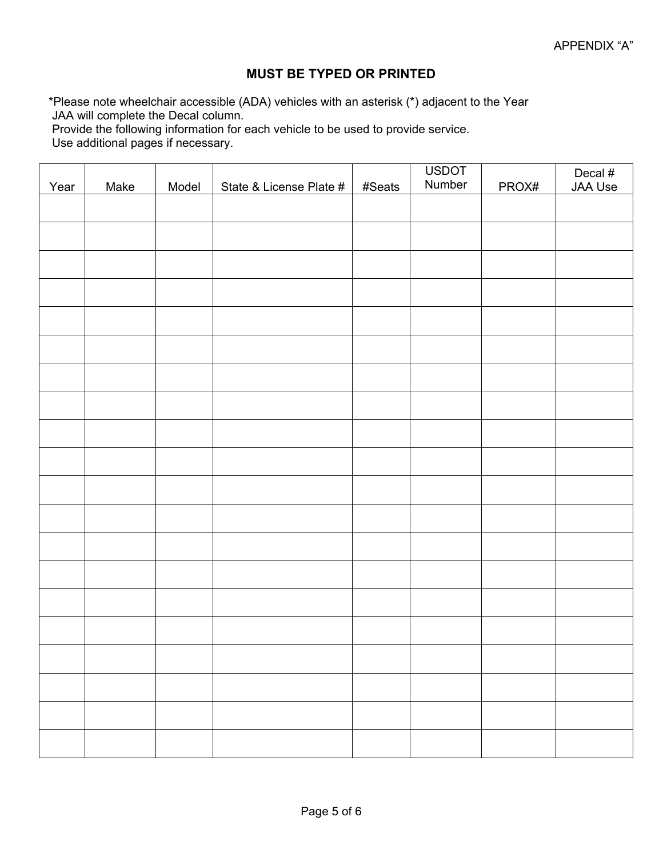## **MUST BE TYPED OR PRINTED**

\*Please note wheelchair accessible (ADA) vehicles with an asterisk (\*) adjacent to the Year JAA will complete the Decal column.

Provide the following information for each vehicle to be used to provide service.

Use additional pages if necessary.

| Year | Make | Model | State & License Plate # | #Seats | <b>USDOT</b><br>Number | PROX# | Decal #<br>JAA Use |
|------|------|-------|-------------------------|--------|------------------------|-------|--------------------|
|      |      |       |                         |        |                        |       |                    |
|      |      |       |                         |        |                        |       |                    |
|      |      |       |                         |        |                        |       |                    |
|      |      |       |                         |        |                        |       |                    |
|      |      |       |                         |        |                        |       |                    |
|      |      |       |                         |        |                        |       |                    |
|      |      |       |                         |        |                        |       |                    |
|      |      |       |                         |        |                        |       |                    |
|      |      |       |                         |        |                        |       |                    |
|      |      |       |                         |        |                        |       |                    |
|      |      |       |                         |        |                        |       |                    |
|      |      |       |                         |        |                        |       |                    |
|      |      |       |                         |        |                        |       |                    |
|      |      |       |                         |        |                        |       |                    |
|      |      |       |                         |        |                        |       |                    |
|      |      |       |                         |        |                        |       |                    |
|      |      |       |                         |        |                        |       |                    |
|      |      |       |                         |        |                        |       |                    |
|      |      |       |                         |        |                        |       |                    |
|      |      |       |                         |        |                        |       |                    |
|      |      |       |                         |        |                        |       |                    |